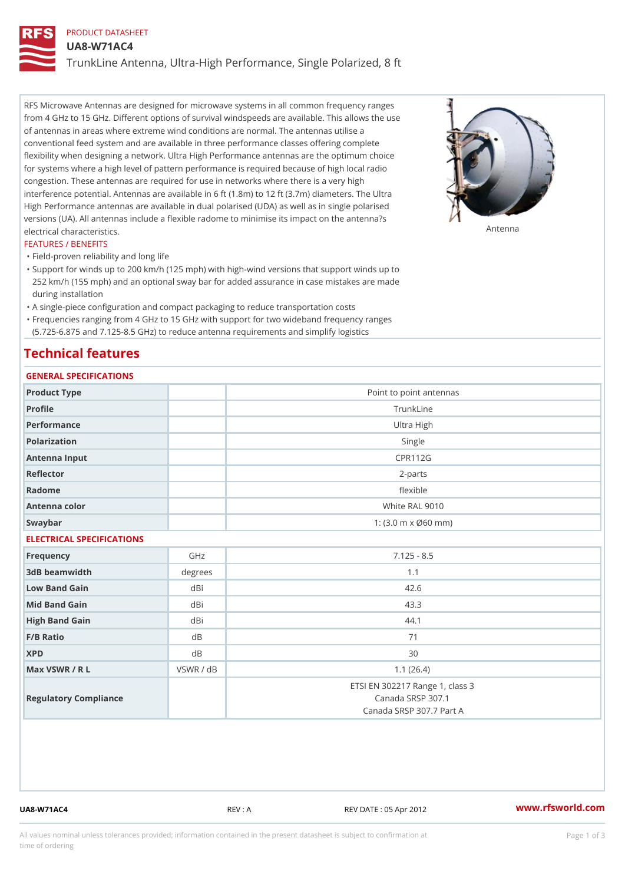## PRODUCT DATASHEET

UA8-W71AC4

TrunkLine Antenna, Ultra-High Performance, Single Polarized, 8 ft

RFS Microwave Antennas are designed for microwave systems in all common frequency ranges from 4 GHz to 15 GHz. Different options of survival windspeeds are available. This allows the use of antennas in areas where extreme wind conditions are normal. The antennas utilise a conventional feed system and are available in three performance classes offering complete flexibility when designing a network. Ultra High Performance antennas are the optimum choice for systems where a high level of pattern performance is required because of high local radio congestion. These antennas are required for use in networks where there is a very high interference potential. Antennas are available in 6 ft (1.8m) to 12 ft (3.7m) diameters. The Ultra High Performance antennas are available in dual polarised (UDA) as well as in single polarised versions (UA). All antennas include a flexible radome to minimise its impact on the antenna?s electrical characteristics. Antenna

#### FEATURES / BENEFITS

"Field-proven reliability and long life

- Support for winds up to 200 km/h (125 mph) with high-wind versions that support winds up to " 252 km/h (155 mph) and an optional sway bar for added assurance in case mistakes are made during installation
- "A single-piece configuration and compact packaging to reduce transportation costs
- Frequencies ranging from 4 GHz to 15 GHz with support for two wideband frequency ranges "
- (5.725-6.875 and 7.125-8.5 GHz) to reduce antenna requirements and simplify logistics

## Technical features

# GENERAL SPECIFICATIONS

| OLIVERAL OF LUIFIUA I IUNO |           |                                                                                  |  |  |
|----------------------------|-----------|----------------------------------------------------------------------------------|--|--|
| Product Type               |           | Point to point antennas                                                          |  |  |
| Profile                    |           | TrunkLine                                                                        |  |  |
| Performance                |           | Ultra High                                                                       |  |  |
| Polarization               |           | Single                                                                           |  |  |
| Antenna Input              |           | <b>CPR112G</b>                                                                   |  |  |
| Reflector                  |           | $2 - p$ arts                                                                     |  |  |
| Radome                     |           | flexible                                                                         |  |  |
| Antenna color              |           | White RAL 9010                                                                   |  |  |
| Swaybar                    |           | 1: $(3.0 \, \text{m} \times \emptyset 60 \, \text{mm})$                          |  |  |
| ELECTRICAL SPECIFICATIONS  |           |                                                                                  |  |  |
| Frequency                  | GHz       | $7.125 - 8.5$                                                                    |  |  |
| 3dB beamwidth              | degree:   | 1.1                                                                              |  |  |
| Low Band Gain              | dBi       | 42.6                                                                             |  |  |
| Mid Band Gain              | dBi       | 43.3                                                                             |  |  |
| High Band Gain             | dBi       | 44.1                                                                             |  |  |
| $F/B$ Ratio                | d B       | 71                                                                               |  |  |
| <b>XPD</b>                 | d B       | 30                                                                               |  |  |
| Max VSWR / R L             | VSWR / dB | 1.1(26.4)                                                                        |  |  |
| Regulatory Compliance      |           | ETSI EN 302217 Range 1, class 3<br>Canada SRSP 307.1<br>Canada SRSP 307.7 Part A |  |  |

UA8-W71AC4 REV : A REV DATE : 05 Apr 2012 [www.](https://www.rfsworld.com)rfsworld.com

All values nominal unless tolerances provided; information contained in the present datasheet is subject to Pcapgeign mation time of ordering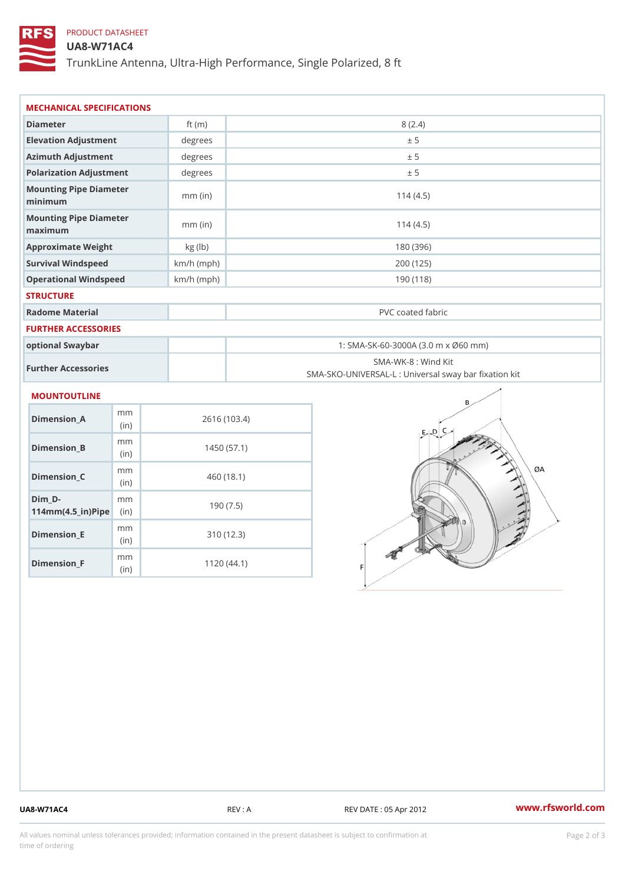# PRODUCT DATASHEET

### UA8-W71AC4

TrunkLine Antenna, Ultra-High Performance, Single Polarized, 8 ft

| MECHANICAL SPECIFICATIONS<br>Diameter<br>8(2.4)<br>ft $(m)$<br>Elevation Adjustment<br>degrees<br>± 5<br>Azimuth Adjustment<br>degrees<br>± 5<br>Polarization Adjustment<br>degrees<br>± 5<br>Mounting Pipe Diameter<br>114(4.5)<br>$mm$ (in)<br>minimum<br>Mounting Pipe Diameter<br>$mm$ (in)<br>114(4.5)<br>maximum<br>Approximate Weight<br>kg (lb)<br>180 (396)<br>$km/h$ (mph)<br>Survival Windspeed<br>200 (125) |                                                   |  |  |  |  |
|-------------------------------------------------------------------------------------------------------------------------------------------------------------------------------------------------------------------------------------------------------------------------------------------------------------------------------------------------------------------------------------------------------------------------|---------------------------------------------------|--|--|--|--|
|                                                                                                                                                                                                                                                                                                                                                                                                                         |                                                   |  |  |  |  |
|                                                                                                                                                                                                                                                                                                                                                                                                                         |                                                   |  |  |  |  |
|                                                                                                                                                                                                                                                                                                                                                                                                                         |                                                   |  |  |  |  |
|                                                                                                                                                                                                                                                                                                                                                                                                                         |                                                   |  |  |  |  |
|                                                                                                                                                                                                                                                                                                                                                                                                                         |                                                   |  |  |  |  |
|                                                                                                                                                                                                                                                                                                                                                                                                                         |                                                   |  |  |  |  |
|                                                                                                                                                                                                                                                                                                                                                                                                                         |                                                   |  |  |  |  |
|                                                                                                                                                                                                                                                                                                                                                                                                                         |                                                   |  |  |  |  |
|                                                                                                                                                                                                                                                                                                                                                                                                                         |                                                   |  |  |  |  |
| Operational Windspeed<br>$km/h$ (mph)                                                                                                                                                                                                                                                                                                                                                                                   | 190(118)                                          |  |  |  |  |
| <b>STRUCTURE</b>                                                                                                                                                                                                                                                                                                                                                                                                        |                                                   |  |  |  |  |
| Radome Material<br>PVC coated fabric                                                                                                                                                                                                                                                                                                                                                                                    |                                                   |  |  |  |  |
| FURTHER ACCESSORIES                                                                                                                                                                                                                                                                                                                                                                                                     |                                                   |  |  |  |  |
| 1: SMA-SK-60-3000A (3.0 m x Ø60 mm)<br>optional Swaybar                                                                                                                                                                                                                                                                                                                                                                 |                                                   |  |  |  |  |
| SMA-WK-8 : Wind Kit<br>Further Accessories                                                                                                                                                                                                                                                                                                                                                                              | SMA-SKO-UNIVERSAL-L : Universal sway bar fixation |  |  |  |  |
| MOUNTOUTLINE                                                                                                                                                                                                                                                                                                                                                                                                            |                                                   |  |  |  |  |
| m m<br>$Dimension_A$<br>2616 (103.4)<br>(in)                                                                                                                                                                                                                                                                                                                                                                            |                                                   |  |  |  |  |
| m m<br>$Dimension_B$<br>1450(57.1)<br>(in)                                                                                                                                                                                                                                                                                                                                                                              |                                                   |  |  |  |  |
| m m<br>Dimension_C<br>460(18.1)<br>(in)                                                                                                                                                                                                                                                                                                                                                                                 |                                                   |  |  |  |  |
| $Dim_D - D -$<br>m m<br>190(7.5)<br>$114$ m m (4.5 _ ir ) $\sqrt{$ imp $\approx$                                                                                                                                                                                                                                                                                                                                        |                                                   |  |  |  |  |

Dimension\_F m<sub>m</sub> (in) 1120 (44.1)

mm (in)

Dimension\_E

310 (12.3)

UA8-W71AC4 REV : A REV : REV DATE : 05 Apr 2012 WWW.rfsworld.com